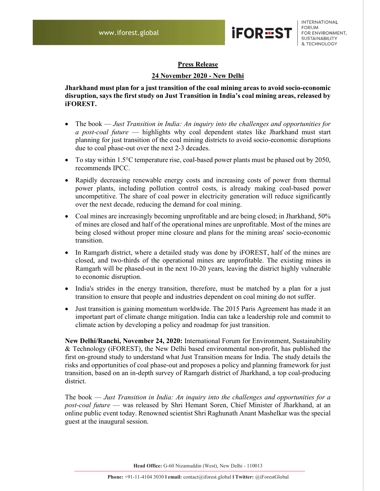

INTERNATIONAL **FORUM** FOR ENVIRONMENT, SUSTAINABILITY & TECHNOLOGY

## Press Release

## 24 November 2020 - New Delhi

Jharkhand must plan for a just transition of the coal mining areas to avoid socio-economic disruption, says the first study on Just Transition in India's coal mining areas, released by iFOREST.

- The book Just Transition in India: An inquiry into the challenges and opportunities for a post-coal future — highlights why coal dependent states like Jharkhand must start planning for just transition of the coal mining districts to avoid socio-economic disruptions due to coal phase-out over the next 2-3 decades.
- To stay within 1.5°C temperature rise, coal-based power plants must be phased out by 2050, recommends IPCC.
- Rapidly decreasing renewable energy costs and increasing costs of power from thermal power plants, including pollution control costs, is already making coal-based power uncompetitive. The share of coal power in electricity generation will reduce significantly over the next decade, reducing the demand for coal mining.
- Coal mines are increasingly becoming unprofitable and are being closed; in Jharkhand, 50% of mines are closed and half of the operational mines are unprofitable. Most of the mines are being closed without proper mine closure and plans for the mining areas' socio-economic transition.
- In Ramgarh district, where a detailed study was done by iFOREST, half of the mines are closed, and two-thirds of the operational mines are unprofitable. The existing mines in Ramgarh will be phased-out in the next 10-20 years, leaving the district highly vulnerable to economic disruption.
- India's strides in the energy transition, therefore, must be matched by a plan for a just transition to ensure that people and industries dependent on coal mining do not suffer.
- Just transition is gaining momentum worldwide. The 2015 Paris Agreement has made it an important part of climate change mitigation. India can take a leadership role and commit to climate action by developing a policy and roadmap for just transition.

New Delhi/Ranchi, November 24, 2020: International Forum for Environment, Sustainability & Technology (iFOREST), the New Delhi based environmental non-profit, has published the first on-ground study to understand what Just Transition means for India. The study details the risks and opportunities of coal phase-out and proposes a policy and planning framework for just transition, based on an in-depth survey of Ramgarh district of Jharkhand, a top coal-producing district.

The book — Just Transition in India: An inquiry into the challenges and opportunities for a post-coal future — was released by Shri Hemant Soren, Chief Minister of Jharkhand, at an online public event today. Renowned scientist Shri Raghunath Anant Mashelkar was the special guest at the inaugural session.

Head Office: G-60 Nizamuddin (West), New Delhi - 110013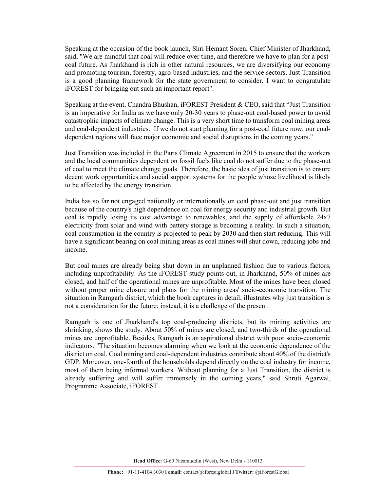Speaking at the occasion of the book launch, Shri Hemant Soren, Chief Minister of Jharkhand, said, "We are mindful that coal will reduce over time, and therefore we have to plan for a postcoal future. As Jharkhand is rich in other natural resources, we are diversifying our economy and promoting tourism, forestry, agro-based industries, and the service sectors. Just Transition is a good planning framework for the state government to consider. I want to congratulate iFOREST for bringing out such an important report".

Speaking at the event, Chandra Bhushan, iFOREST President & CEO, said that "Just Transition is an imperative for India as we have only 20-30 years to phase-out coal-based power to avoid catastrophic impacts of climate change. This is a very short time to transform coal mining areas and coal-dependent industries. If we do not start planning for a post-coal future now, our coaldependent regions will face major economic and social disruptions in the coming years."

Just Transition was included in the Paris Climate Agreement in 2015 to ensure that the workers and the local communities dependent on fossil fuels like coal do not suffer due to the phase-out of coal to meet the climate change goals. Therefore, the basic idea of just transition is to ensure decent work opportunities and social support systems for the people whose livelihood is likely to be affected by the energy transition.

India has so far not engaged nationally or internationally on coal phase-out and just transition because of the country's high dependence on coal for energy security and industrial growth. But coal is rapidly losing its cost advantage to renewables, and the supply of affordable 24x7 electricity from solar and wind with battery storage is becoming a reality. In such a situation, coal consumption in the country is projected to peak by 2030 and then start reducing. This will have a significant bearing on coal mining areas as coal mines will shut down, reducing jobs and income.

But coal mines are already being shut down in an unplanned fashion due to various factors, including unprofitability. As the iFOREST study points out, in Jharkhand, 50% of mines are closed, and half of the operational mines are unprofitable. Most of the mines have been closed without proper mine closure and plans for the mining areas' socio-economic transition. The situation in Ramgarh district, which the book captures in detail, illustrates why just transition is not a consideration for the future; instead, it is a challenge of the present.

Ramgarh is one of Jharkhand's top coal-producing districts, but its mining activities are shrinking, shows the study. About 50% of mines are closed, and two-thirds of the operational mines are unprofitable. Besides, Ramgarh is an aspirational district with poor socio-economic indicators. "The situation becomes alarming when we look at the economic dependence of the district on coal. Coal mining and coal-dependent industries contribute about 40% of the district's GDP. Moreover, one-fourth of the households depend directly on the coal industry for income, most of them being informal workers. Without planning for a Just Transition, the district is already suffering and will suffer immensely in the coming years," said Shruti Agarwal, Programme Associate, iFOREST.

Head Office: G-60 Nizamuddin (West), New Delhi - 110013